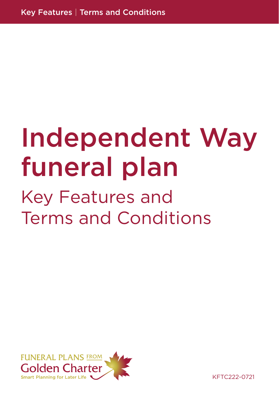# Independent Way funeral plan

## Key Features and Terms and Conditions



KFTC222-0721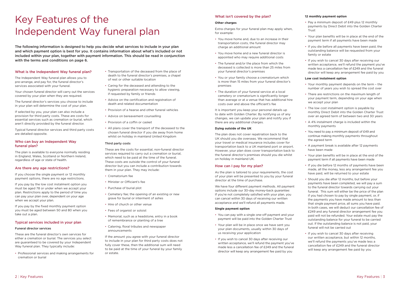## Key Features of the Independent Way funeral plan

The following information is designed to help you decide what services to include in your plan and which payment option is best for you. It contains information about what's included or not included within your plan, together with payment information. This should be read in conjunction with the terms and conditions on page 6.

#### What is the Independent Way funeral plan?

The Independent Way funeral plan allows you to pre-arrange, and pay for, the funeral director's services associated with your funeral.

Your chosen funeral director will carry out the services covered by your plan when they are required.

The funeral director's services you choose to include in your plan will determine the cost of your plan.

If selected by you, your plan can also include a provision for third party costs. These are costs for essential services such as cremation or burial, which aren't directly provided by the funeral director.

Typical funeral director services and third party costs are detailed opposite.

### Who can buy an Independent Way funeral plan?

The plan is available to everyone normally residing in England, Wales, Scotland or Northern Ireland, regardless of age or state of health.

#### Are there any age restrictions?

If you choose the single payment or 12 monthly payment options, there are no age restrictions.

If you pay by the low cost instalment option you must be aged 78 or under when we accept your plan. Restrictions apply to the period of time you can pay your plan over, dependent on your age when we accept your plan.

If you pay by the fixed monthly payment option you must be aged between 50 and 80 when you take out a plan.

### Typical services included in your plan

#### Funeral director services

These are the funeral director's own services for either a cremation or burial. The services you select are guaranteed to be covered by your Independent Way funeral plan. They typically include:

• Professional services and making arrangements for cremation or burial

- Transportation of the deceased from the place of death to the funeral director's premises, a chapel of rest or other suitable location
- Caring for the deceased and attending to the hygienic preparation necessary to allow viewing, if requested by family or friends
- Advice on the certification and registration of death and related documentation
- Provision of a hearse and other funeral vehicles
- Advice on bereavement counselling
- Provision of a coffin or casket
- All plans cover the transport of the deceased to the chosen funeral director if you die away from home whilst on holiday in mainland United Kingdom

#### Third party costs

These are the costs for essential, non-funeral director services required to carry out a cremation or burial. which need to be paid at the time of the funeral. These costs are outside the control of your funeral director but you can include a contribution towards them in your plan. They may include:

- Crematorium fee
- Minister or Officiant's fee
- Purchase of burial plot
- Cemetery fee; the opening of an existing or new grave for burial or interment of ashes
- Hire of church or other venue
- Fees of organist or soloist
- Memorial, such as a headstone, entry in a book of remembrance or planting of a tree
- Catering, floral tributes and newspaper announcements

If the amount you agree with your funeral director to include in your plan for third party costs does not fully cover these, then the additional sum will need to be paid at the time of your funeral by your family or estate.

#### What isn't covered by the plan?

#### **Other charges**

Extra charges for your funeral plan may apply when, for example:

- You move home and, due to an increase in their transportation costs, the funeral director may charge an additional amount
- You move home and a new funeral director is appointed who may require additional costs
- The funeral and/or the place from which the deceased is collected is more than 25 miles from your funeral director's premises
- You or your family choose a crematorium which is more than 15 miles from your funeral director's premises
- The duration of your funeral service at a local cemetery or crematorium is significantly longer than average or at a venue that has additional hire costs over and above the officiant's fee

It is important you keep your personal details up to date with Golden Charter. By notifying us of any changes, we can update your plan and notify you if there are any additional charges.

#### **Dying outside of the UK**

The plan does not cover repatriation back to the UK should you die overseas. We recommend that your travel or medical insurance includes cover for transportation back to a UK mainland port or airport. However, your plan does cover transportation back to the funeral director's premises should you die whilst on holiday in mainland UK.

#### How can I pay for my plan?

As the plan is tailored to your requirements, the cost of your plan will be presented to you by your funeral director at the time of purchase.

We have four different payment methods. All payment options include our 30-day money-back guarantee: If you're not completely satisfied with your plan, you can cancel within 30 days of receiving our written acceptance and we'll refund all payments made.

#### **Single payment option**

- You can pay with a single one-off payment and your payment will be paid into the Golden Charter Trust
- Your plan will be in place once we have sent you your plan documents, usually within 30 days of us receiving your application
- If you wish to cancel 30 days after receiving our written acceptance, we'll refund the payment you've made less a cancellation fee of £249 and the funeral director will keep any arrangement fee paid by you

#### **12 monthly payment option**

• Pay a minimum deposit of £49 plus 12 monthly payments by Direct Debit into the Golden Charter

- Trust
- -
- 

• Your plan benefits will be in place at the end of the payment term if all payments have been made

• If you die before all payments have been paid, the outstanding balance will be requested from your family or estate

• If you wish to cancel 30 days after receiving our written acceptance, we'll refund the payment you've made less a cancellation fee of £249 and the funeral director will keep any arrangement fee paid by you

#### **Low cost instalment option**

- 
- 
- 
- 
- 
- 
- -
	-
	-

• Your monthly payment depends on the term – the number of years you wish to spread the cost over

• There are restrictions on the maximum length of your payment term, depending on your age when we accept your plan

• The low cost instalment option is payable by monthly Direct Debit into the Golden Charter Trust over an agreed term of between two and 30 years

• A 4% instalment charge is included within the monthly payments

• You need to pay a minimum deposit of £49 and continue making monthly payments throughout the agreed term

• A payment break is available after 12 payments have been made

• Your plan benefits will be in place at the end of the payment term if all payments have been made

• If you die before 12 months of payments have been made, all the money, less any arrangement fee you have paid, will be returned to your estate

• Should you die after 12 months, but before your payments have been completed, we will pay a sum to the funeral director towards carrying out your funeral. This sum will either be the price of the plan if you had chosen to pay by single payment, or, if the payments you have made amount to less than that single payment price, all sums you have paid. In both cases, we will deduct our cancellation fee of £249 and any funeral director arrangement fee you paid will not be refunded. Your estate must pay the outstanding balance for your funeral to be carried out. If the outstanding balance is not paid, your funeral will not be carried out

• If you wish to cancel 30 days after receiving our written acceptance, but within 12 months, we'll refund the payments you've made less a cancellation fee of £249 and the funeral director will keep any arrangement fee paid by you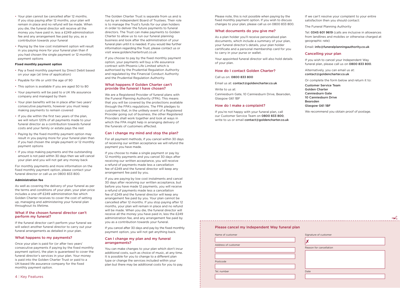4 | Key Features Key Features | 5

- Your plan cannot be cancelled after 12 months. If you stop paying after 12 months, your plan will remain in place and no refund will be made. When you die, the funeral director will receive all the money you have paid in, less a £249 administration fee and any arrangement fee paid by you, as a contribution towards your funeral
- Paying by the low cost instalment option will result in you paying more for your funeral plan than if you had chosen the single payment or 12 monthly payment options

#### **Fixed monthly payment option**

- Pay a fixed monthly payment by Direct Debit based on your age (at time of application)
- Payable for life or until the age of 90
- This option is available if you are aged 50 to 80
- Your payments will be paid to a UK life assurance company and managed by them
- Your plan benefits will be in place after two years' consecutive payments, however you must keep making payments to remain covered
- If you die within the first two years of the plan, we will return 120% of all payments made to your funeral director as a contribution towards funeral costs and your family or estate pays the rest
- Paying by the fixed monthly payment option may result in you paying more for your funeral plan than if you had chosen the single payment or 12 monthly payment options
- If you stop making payments and the outstanding amount is not paid within 30 days then we will cancel your plan and you will not get any money back

For monthly payments and more information on the fixed monthly payment option, please contact your funeral director or call us on 0800 833 800.

#### **Administration fee**

As well as covering the delivery of your funeral as per the terms and conditions of your plan, your plan price includes a one-off £249 administration fee which Golden Charter receives to cover the cost of setting up, managing and administering your funeral plan throughout its lifetime.

### What if the chosen funeral director can't perform my funeral?

If the funeral director can't perform your funeral we will select another funeral director to carry out your funeral arrangements as detailed in your plan.

#### What happens to my payments?

Once your plan is paid for (or after two years' consecutive payments if paying by the fixed monthly payment option), the plan is guaranteed to cover the funeral director's services in your plan. Your money is paid into the Golden Charter Trust or paid to a UK-based life assurance company for the fixed monthly payment option.

The Golden Charter Trust is separate from us and is run by an independent Board of Trustees. Their role is to manage the Trust's funds for our plan holders in order to deliver the future payments to funeral directors. The Trust can make payments to Golden Charter to allow us to run our funeral planning business and look after the administration of your funeral plan until it is needed. If you would like further information regarding the Trust, please contact us or visit www.goldenchartertrust.co.uk

> If you're not happy with your funeral plan, call our Customer Service Team on 0800 833 800, write to us or email contact@goldencharter.co.uk

If you choose to pay by the fixed monthly payment option, your payments will buy a life assurance contract with Phoenix Life Limited which is authorised by the Prudential Regulation Authority and regulated by the Financial Conduct Authority and the Prudential Regulation Authority.

#### What happens if Golden Charter can't provide the funeral I have chosen?

| Name of customer    | Signature of customer   |
|---------------------|-------------------------|
|                     |                         |
| Address of customer |                         |
|                     | Reason for cancellation |
|                     |                         |
|                     |                         |
|                     |                         |
| Postcode            |                         |
|                     |                         |

We are a Registered Provider of funeral plans with the Funeral Planning Authority (FPA). This means that you will be covered by the protections available through the FPA's regulations. The FPA pledges to customers that, in the unlikely event of a Registered Provider going out of business, the other Registered Providers shall work together and look at ways in which the FPA might help in arranging delivery of the funerals of customers affected.

#### Can I change my mind and stop the plan?

For all payment methods, if you cancel within 30 days of receiving our written acceptance we will refund the payment you have made.

If you choose to make a single payment or pay by 12 monthly payments and you cancel 30 days after receiving our written acceptance, you will receive a refund of payments made less a cancellation fee of £249 and the funeral director will keep any arrangement fee paid by you.

If you are paying by low cost instalments and cancel 30 days after receiving our written acceptance, but before you have made 12 payments, you will receive a refund of payments made less a cancellation fee of £249 and the funeral director will keep any arrangement fee paid by you. Your plan cannot be cancelled after 12 months. If you stop paying after 12 months, your plan will remain in place and no refund will be made. When you die, the funeral director will receive all the money you have paid in, less the £249 administration fee, and any arrangement fee paid by you as a contribution towards your funeral.

If you cancel after 30 days and pay by the fixed monthly payment option, you will not get anything back.

#### Can I change my plan and my funeral arrangements?

You can make changes to your plan which don't incur additional costs, such as choice of music, at any time. It is possible for you to change to a different plan type or change the services included within your plan but there may be additional costs for you to pay.

Please note, this is not possible when paying by the fixed monthly payment option. If you wish to discuss changes to your plan, please call us on 0800 833 800.

#### What documents do you give me?

As a plan holder you'll receive personalised plan documents, which include a summary of your plan, your funeral director's details, your plan holder certificate and a personal membership card for you to carry in your purse or wallet.

Your appointed funeral director will also hold details of your plan.

#### How do I contact Golden Charter?

#### Call us on: 0800 833 800

Email us at: contact@goldencharter.co.uk

Write to us at:

Canniesburn Gate, 10 Canniesburn Drive, Bearsden, Glasgow G61 1BF

## How do I make a complaint?

If we can't resolve your complaint to your entire satisfaction then you should contact:

The Funeral Planning Authority

Tel: 0345 601 9619 (calls are inclusive in allowances from landlines and mobiles or otherwise charged at geographic rate)

Email: info@funeralplanningauthority.co.uk

## Cancelling your plan

If you wish to cancel your Independent Way funeral plan, please call us on 0800 833 800.

Alternatively, you can email us at: contact@goldencharter.co.uk

Or complete the form below and return it to:

Customer Service Team Golden Charter Canniesburn Gate 10 Canniesburn Drive Bearsden Glasgow G61 1BF

We recommend you obtain proof of postage.

 $\prec$ 

r cancellation

Please cancel my Independent Way funeral plan

Tel. number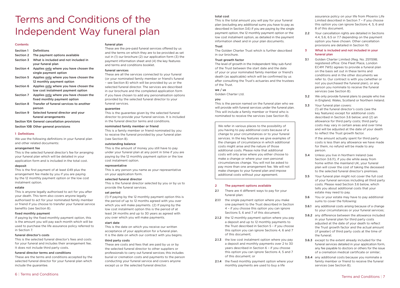## Terms and Conditions of the Independent Way funeral plan

#### Contents

| Section 1        | <b>Definitions</b>                                                           |
|------------------|------------------------------------------------------------------------------|
| Section 2        | The payment options available                                                |
| Section 3        | What is included and not included in<br>your funeral plan                    |
| Section 4        | Applies only where you have chosen the<br>single payment option              |
| Section 5        | Applies only where you have chosen the<br>12 monthly payment option          |
| Section 6        | Applies only where you have chosen the<br>low cost instalment payment option |
| Section 7        | Applies only where you have chosen the<br>fixed monthly payment option       |
| <b>Section 8</b> | Transfer of funeral services to another<br>person                            |
| Section 9        | Selected funeral director and your                                           |

funeral arrangements

Section 10A General cancellation provisions

Section 10B Other general provisions

#### 1 Definitions

We use the following definitions in your funeral plan and other related documents:

#### arrangement fee

This is the selected funeral director's fee for arranging your funeral plan which will be detailed in your application form and is included in the total cost.

#### deposit

This is the first payment of at least £49 plus the arrangement fee made by you if you are paying by the 12 monthly payment option or the low cost instalment option.

#### estate

This is anyone legally authorised to act for you after your death. This term also covers anyone legally authorised to act for your nominated family member or friend if you choose to transfer your funeral service benefits (see Section 8).

#### fixed monthly payment

If paying by the fixed monthly payment option, this is the amount you will pay each month which will be used to purchase the life assurance policy referred to in Section 7.

#### funeral director's costs

This is the selected funeral director's fees and costs for your funeral and includes their arrangement fee. It does not include third party costs.

#### funeral director terms and conditions

These are the terms and conditions accepted by the selected funeral director for your funeral plan which include the guarantee.

### funeral plan

These are the pre-paid funeral services offered by us and the terms on which they are to be provided as set out in (1) our brochure (2) our application form (3) the payment information sheet and (4) the key features and terms and conditions booklet.

#### funeral services

These are all the services connected to your funeral (or your nominated family member or friend's funeral – see Section 8) which will be provided by us or the selected funeral director. The services are described in our brochure and the completed application form if you have chosen to add any personalisation options provided by the selected funeral director to your funeral services.

#### guarantee

This is the guarantee given by the selected funeral director to provide your funeral services. It is included in the funeral director terms and conditions.

#### nominated family member or friend

This is a family member or friend nominated by you to receive the funeral provided by your funeral plan (see Section 8).

#### outstanding balance

This is the amount of money you still have to pay under your funeral plan at any point in time if you are paying by the 12 monthly payment option or the low cost instalment option.

#### representative

This is any person you name as your representative on your application form.

### selected funeral director

- 2.1 There are 4 different ways to pay for your funeral plan:
- 2.1.1 the single payment option where you make one payment to the Trust described in Section 4 – if you choose this option you can ignore Sections 5, 6 and 7 of this document;
- 2.1.2 the 12 monthly payment option where you pay a deposit and up to 12 monthly payments to the Trust described in Section 5 – if you choose this option you can ignore Sections 4, 6 and 7 of this document;
- 2.1.3 the low cost instalment option where you pay a deposit and monthly payments over 2 to 30 years described in Section 6 – if you choose this option you can ignore Sections 4, 5 and 7 of this document; or
- 2.1.4 the fixed monthly payment option where your monthly payments are used to buy a life

This is the funeral director selected by you or by us to provide the funeral services.

#### set period

2.2 Your cancellation rights are detailed in Sections 4.4, 5.6, 6.5 or 7.7 depending on the payment option you have chosen. Other cancellation provisions are detailed in Section 10.

(1) If paying by the 12 monthly payment option this is the period of up to 12 months agreed with you over which you will make payments. (2) If paying by the low cost instalment option this is the period of at least 24 months and up to 30 years as agreed with you over which you will make payments.

#### start date

This is the date on which you receive our written acceptance of your application for a funeral plan. It is the date on which our contract with you begins.

#### third party costs

These are costs and fees that are paid by us or by the selected funeral director to other suppliers or professionals to carry out funeral services; this includes burial or cremation costs and payments to the person conducting your funeral service and covers anyone except us or the selected funeral director.

**3.4** Unless you live in Northern Ireland (see Section 3.6.11), if you die while away from home within the mainland UK, your funeral plan will cover the cost of taking the deceased to the selected funeral director's premises.

#### total cost

**3.6** You or your estate may have to pay additional sums to cover the following:

**3.6.2** any difference between the allowance included in your funeral plan for third party costs

This is the total amount you will pay for your funeral plan (excluding any additional sums you have to pay as described in Section 3.6) if you are paying by the single payment option, the 12 monthly payment option or the low cost instalment option, as detailed in the payment information sheet and in your plan documents.

## Trust

The Golden Charter Trust which is further described in our brochure.

#### Trust growth factor

The level of growth in the Independent Way sub-fund of the Trust between the start date and the date of your or your nominated family member or friend's death (as applicable) which will be confirmed by us after consulting the Trust's actuaries and the trustees of the Trust.

#### we / us

Golden Charter Ltd.

### you

This is the person named on the funeral plan who we will provide with funeral services under the funeral plan. This will include a family member or friend who is nominated to receive the services (see Section 8).

| We refer in various places to the possibility of  |
|---------------------------------------------------|
| you having to pay additional costs because of a   |
| change to your circumstances or to your funeral   |
| services. In the key features we give examples of |
| the changes of circumstance in which additional   |
| costs might arise and the nature of those         |
| additional costs. Please note that additional     |
| costs will only arise where you either choose to  |
| make a change or where your own personal          |
| circumstances change. You will not be asked to    |
| pay more than one arrangement fee. We will not    |
| make changes to your funeral plan and impose      |
| additional costs without your agreement.          |

## 2 The payment options available

assurance policy on your life from Phoenix Life Limited described in Section 7 – if you choose this option you can ignore Sections 4, 5, 6 and 8 of this document.

#### 3 What is included and not included in your funeral plan

3.1 Golden Charter Limited (Reg. No. 2511598; registered office: One Fleet Place, London EC4M 7WS) agrees to provide a funeral plan on the basis set out in these terms and conditions and in the other documents we refer to. Our contract is with you (whether or not you purchased the funeral plan), or any person you nominate to receive the funeral services (see Section 8).

3.2 We only provide funeral plans to people who live in England, Wales, Scotland or Northern Ireland. 3.3 Your funeral plan covers:

> (1) all the funeral director's costs (see the key features) except for additional costs described in Section 3.6 below; and (2) an allowance for third party costs; third party costs may vary in certain areas and over time and will be adjusted at the date of your death to reflect the Trust growth factor.

If the amount actually spent for third party costs is less than any allowance we have made for them, no refund will be made to any person.

3.5 Your funeral plan might not cover the full cost of your funeral services including all third party costs. Please read Section 3.6 below, which tells you about additional costs that your estate may need to pay.

3.6.1 any additional costs arising because of a change to your circumstances or your funeral services;

> adjusted at the date of your death to reflect the Trust growth factor and the actual amount (if greater) of third party costs at the time of the funeral;

3.6.3 except to the extent already included for the funeral services detailed in your application form, any fee payable to doctors or others for the issue of a cremation medical certificate or similar;

3.6.4 any additional costs because you nominate a family member or friend to receive the funeral services (see Section 8);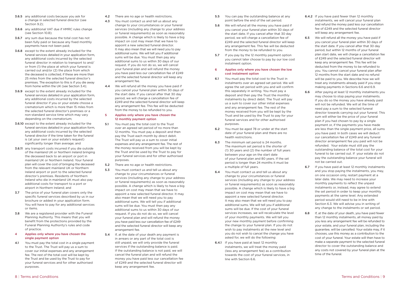- 3.6.5 any additional costs because you ask for a change in selected funeral director (see Section 9.2):
- 3.6.6 any additional VAT due if HMRC rules change (see Section 10.8);
- 3.6.7 any sum due because the total cost has not been fully paid or because any fixed monthly payments have not been paid;
- 3.6.8 except to the extent already included for the funeral services detailed in your application form, any additional costs incurred by the selected funeral director in relation to transport to and/ or from (1) the place at which your funeral is carried out and/or (2) the place from which the deceased is collected, if these are more than 25 miles from the selected funeral director's premises. The exception to this is if you die away from home within the UK (see Section 3.4);
- 3.6.9 except to the extent already included for the funeral services detailed in your application form, any additional costs incurred by the selected funeral director if you or your estate choose a crematorium which is more than 15 miles from the selected funeral director's premises or a non-standard service time which may vary depending on the crematorium;
- 3.6.10 except to the extent already included for the funeral services detailed in your application form, any additional costs incurred by the selected funeral director if the time taken for the funeral is (at your own or your estate's request) significantly longer than average; and
- 3.6.11 any transport costs incurred if you die outside of the mainland UK or Northern Ireland bringing the deceased back to an airport or port in mainland UK or Northern Ireland. Your funeral plan will cover the cost of bringing the deceased from the relevant mainland UK or Northern Ireland airport or port to the selected funeral director's premises. Residents of Northern Ireland who die in mainland UK must also pay additional costs for transport to a port or airport in Northern Ireland; and
- **3.7** The price of your funeral plan covers only the specific funeral services described by us in our brochure or added in your application form. You will have to pay for any additional services or items.
- 3.8 We are a registered provider with the Funeral Planning Authority. This means that you will benefit from the protections provided by the Funeral Planning Authority's rules and code of practice.

4.1 You must pay the total cost in a single payment to the Trust. The Trust will pay us a sum to cover our initial expenses and any arrangement fee. The rest of the total cost will be kept by the Trust and be used by the Trust to pay for your funeral services and for other authorised purposes.

- 4.2 There are no age or health restrictions.
- 4.3 You must contact us and tell us about any change to your circumstances or your funeral services (including any change to your address or funeral requirements) as soon as reasonably possible. A change which is likely to have a big impact on cost may mean that we have to appoint a new selected funeral director. It may also mean that we will need you to pay additional sums. We will tell you if additional sums will be due. You must then pay any additional sums to us within 30 days of our request. If you do not do so, we will cancel your funeral plan and will refund the money you have paid less our cancellation fee of £249 and the selected funeral director will keep any arrangement fee.
- 4.4 We will refund all the money you have paid if you cancel your funeral plan within 30 days of the start date. If you cancel after that 30 day period, we will charge a cancellation fee of £249 and the selected funeral director will keep any arrangement fee. This fee will be deducted from the money to be refunded to you.

#### 4 Applies only where you have chosen the single payment option

- 5.1 You must pay the total cost to the Trust over an agreed set period of no more than 12 months. You must pay a deposit and then pay the Trust each month by direct debit. The Trust will pay us a sum to cover initial expenses and any arrangement fee. The rest of the money received from you will be kept by the Trust and be used by the Trust to pay for your funeral services and for other authorised purposes.
- 5.2 There are no age or health restrictions.
- 5.3 You must contact us and tell us about any change to your circumstances or funeral services (including any change to your address or funeral requirements) as soon as reasonably possible. A change which is likely to have a big impact on cost may mean that we have to appoint a new selected funeral director. It may also mean that we will need you to pay additional sums. We will tell you if additional sums will be due. You must then pay any additional sums to us within 30 days of our request. If you do not do so, we will cancel your funeral plan and will refund the money you have paid less our cancellation fee of £249 and the selected funeral director will keep any arrangement fee.
- 5.4 If, at the date of your death any payment is in arrears or any part of the total cost is still unpaid, we will only provide the funeral services if the outstanding balance is paid. If the outstanding balance is not paid, we will cancel the funeral plan and will refund the money you have paid less our cancellation fee of £249 and the selected funeral director will keep any arrangement fee.

#### 5 Applies only where you have chosen the 12 monthly payment option

- You can pay the outstanding balance at any point before the end of the set period.
- 5.6 We will refund all the money you have paid if you cancel your funeral plan within 30 days of the start date. If you cancel after that 30 day period, we will charge a cancellation fee of £249 and the selected funeral director will keep any arrangement fee. This fee will be deducted from the money to be refunded to you.
- 5.7 If you pay by the 12 monthly payment option you cannot later choose to pay by our low cost instalment option.
- 6 Applies only where you have chosen the low cost instalment option
- 6.1 You must pay the total cost to the Trust in instalments over an agreed set period. We will agree the set period with you and will confirm this separately in writing. You must pay a deposit and then pay the Trust the monthly instalments by direct debit. The Trust will pay us a sum to cover our other initial expenses and any arrangement fee. The rest of the money received from you will be kept by the Trust and be used by the Trust to pay for your funeral services and for other authorised purposes.
- 6.2 You must be aged 78 or under at the start date of your funeral plan and there are no health restrictions.
- 6.3 The minimum set period is 24 months. The maximum set period is the shorter of (1) 30 years and (2) the number of full years between your age on the start date of your funeral plan and 80 years. If the set period is longer than 24 months it must be a multiple of full years.
- 6.4 You must contact us and tell us about any change to your circumstances or funeral services (including any change to your address or funeral requirements) as soon as reasonably possible. A change which is likely to have a big impact on cost may mean that we have to appoint a new selected funeral director. It may also mean that we will need you to pay additional sums. We will tell you if additional sums will be due. If the cost of your funeral services increases, we will recalculate the level of your monthly payments. We will tell you your new monthly payment before confirming the change to your funeral plan. If you do not wish to pay instalments at the new level and you do not wish to cancel the change you have asked for, we will do the following:
- 6.4.1 If you have paid at least 12 monthly instalments, we will treat the money paid (less any arrangement fee) as a contribution towards the cost of your funeral services, in line with Section 6.6.

6.5 We will refund all the money you have paid if you cancel your funeral plan within 30 days of the start date. If you cancel after that 30 day period, but within 12 months of your funeral plan start date, we will charge a cancellation fee of £249 and the selected funeral director will keep any arrangement fee. This fee will be deducted from the money to be refunded to you. You cannot cancel your funeral plan after 12 months from the start date and no refund will be paid to you. We describe how we will treat any instalments already paid if you stop making payments in Sections 6.6 and 6.9.

6.8 If, at the date of your death, you have paid fewer than 12 monthly instalments, all money paid by you less any arrangement fee will be refunded to your estate, and your funeral plan, including the guarantee, will be cancelled. Your estate may, if it chooses, use this money as a contribution to the cost of your funeral. Your estate will then have to make a separate payment to the selected funeral director to cover the outstanding balance and any costs not covered by your funeral plan at the time of the funeral.

6.4.2 If you have paid fewer than 12 monthly instalments, we will cancel your funeral plan and refund the money paid less our cancellation fee of £249 and the selected funeral director will keep any arrangement fee.

6.6 After paying at least 12 monthly instalments you may choose to stop paying your instalments. If you do so the money you have already paid will not be refunded. We will at the time of need pay a sum to the selected funeral director towards carrying out your funeral. This sum will either be the price of your funeral plan if you had chosen to pay by a single payment or, if the payments you have made are less than the single payment price, all sums you have paid. In both cases we will deduct our cancellation fee of £249 and any funeral director arrangement fee you paid will not be refunded. Your estate must still pay the outstanding balance of the total cost for your funeral to be carried out. If your estate do not pay the outstanding balance your funeral will not be carried out.

6.7 If you have paid at least 12 monthly instalments and you stop paying the instalments, you may, on one occasion only, restart payment at a later date. We may need to increase your monthly payments to reflect the unpaid instalments or, instead, may agree to extend the set period in order to keep your monthly payments at the same level. Any extended period would still need to be in line with Section 6.3. We will advise you in writing of any change to the instalments or set period.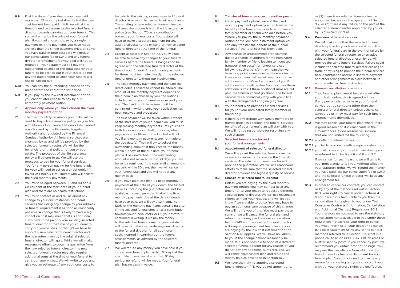- 6.9 If, at the date of your death, you have paid more than 12 monthly instalments but the total cost has not been paid in full, we will at the time of need pay a sum to the selected funeral director towards carrying out your funeral. This sum will either be the price of your funeral plan if you had chosen to pay by a single payment or, if the payments you have made are less than the single payment price, all sums you have paid. In both cases we will deduct our cancellation fee of £249 and any funeral director arrangement fee you paid will not be refunded. Your estate must still pay the outstanding balance of the total cost for your funeral to be carried out If your estate do not pay the outstanding balance your funeral will not be carried out.
- 6.10 You can pay the outstanding balance at any point before the end of the set period.
- 6.11 If you pay by the low cost instalment option you cannot later choose to pay by our 12 monthly payment option.

#### 7 Applies only where you have chosen the fixed monthly payment option

- 7.1 The fixed monthly payments you make will be used to buy a life assurance policy on your life with Phoenix Life Limited. Phoenix Life Limited is authorised by the Prudential Regulation Authority and regulated by the Financial Conduct Authority. All funeral services are arranged by us and will be provided by the selected funeral director. We will be the beneficiary of that policy, not you or your estate. The proceeds of the life assurance policy will belong to us. We will use the proceeds to pay for your funeral services. You (or any person paying for the funeral plan for you) will need to set up a direct debit in favour of Phoenix Life Limited who will collect the fixed monthly payments.
- 7.2 You must be aged between 50 and 80 and a UK resident at the start date of your funeral plan and there are no health restrictions.
- 7.3 You must contact us and tell us about any change to your circumstances or funeral services (including any change to your address or funeral requirements) as soon as reasonably possible. A change that is likely to have a big impact on cost may mean that (1) additional sums have to be paid to your existing selected funeral director at the time of your funeral to carry out your wishes, or that (2) we have to appoint a new selected funeral director and the guarantee given by the original selected funeral director will lapse. While we will make reasonable efforts to obtain a guarantee from the new selected funeral director, the new selected funeral director may also require additional sums at the time of your funeral to carry out your wishes. We will write to you and give you an estimate of any additional costs to
- 7.6 If you have paid less than 24 fixed monthly payments at the date of your death, the funeral services, including the guarantee, will not be available. Instead, provided that all the fixed monthly payments due at the date of death have been paid, we will pay a sum equal to 120% of the monthly payments actually paid to (1) the selected funeral director as a contribution towards your funeral costs, or (2) your estate, if confirmed in writing. If we pay the money to the selected funeral director, your estate will have to make a separate payment directly to the funeral director for all additional costs incurred in carrying out the funeral arrangements, as advised by the selected funeral director.
- 7.7 We will refund any money you have paid if you cancel your funeral plan within 30 days of the start date. If you cancel after that 30 day period, no refund will be made. Your funeral plan has no cash in value.

be paid to the existing or new selected funeral director. Your monthly payments will not change. The existing or new selected funeral director will treat the proceeds from the life assurance policy (see Section 7.1) as a contribution towards your funeral costs. Your estate will have to make a separate payment for any additional costs to the existing or new selected funeral director at the time of the funeral.

- 7.4 Except as stated in Section 7.3, you will not be able to make any changes to your funeral services before the funeral. Changes can be agreed with the selected funeral director at the time of your funeral. Any additional payment for these must be made directly to the selected funeral director without our involvement.
- 7.5 The fixed monthly payments and the date the direct debit is collected cannot be altered. The amount of the monthly payment depends on the funeral plan chosen by you, the options included within your funeral services and your age. The fixed monthly payment will be confirmed in writing once your application has been received and processed.
- 8.1 For all payment options, except the fixed monthly payment option, you can transfer the benefit of the funeral services to a nominated family member or friend who dies before you. Where you pay by the 12 monthly payment option or the low cost instalment option you can only transfer the benefit of the funeral services if the total cost has been paid.
- 8.2 Any change of arrangements (for example, due to a change of address for the nominated family member or friend leading to increased transportation costs) for funeral services following such a transfer may mean that we have to appoint a new selected funeral director. It may also mean that we will need you to pay additional sums. We will write and tell you if additional sums will be due. You must pay these additional sums. If these additional sums are not paid, the transfer cannot go ahead. The funeral services will automatically stay with you in line with the arrangements originally agreed.
- 8.3 Your funeral plan provides funeral services for you or your nominated family member or friend only.
- 8.4 If there is any dispute with family members or friends under this section, the funeral services benefits of your funeral plan will stay with you. We will not be responsible for resolving any such dispute.
- 9 Selected funeral director and your funeral arrangements
- 9.1 Appointment of selected funeral director We will appoint the selected funeral director as our subcontractor to provide the funeral services. The selected funeral director will provide the guarantee. We will use reasonable efforts to make sure that the selected funeral director provides the highest quality of service.

The first payment will be taken within 7 weeks of the start date of your funeral plan. You must keep making monthly payments until your 90th birthday or until your death, if sooner, when payments stop. Phoenix Life Limited will tell you if any monthly payments are not made on the due date(s). They will try to collect the outstanding amount. If they receive the money within 30 days of the due date, your funeral plan will be unaffected. If the outstanding amount is not received within 30 days, you will be sent a reminder. If the outstanding amount is not paid within 30 days, then we will cancel your funeral plan and you will not get any money back.

10.1 Your funeral plan cannot be cancelled after your death unless this is agreed with us. If any person wishes to have your funeral carried out by someone other than the selected funeral director, unless otherwise agreed by us, they must pay for such funeral arrangements themselves.

10.2 We may cancel your funeral plan where there is good reason and it is reasonable in the circumstances. Good reasons will include (but are not limited to) the following:

10.2.1 a conflict of interest arises:

10.3 In order to cancel our contract, you can contact us by any of the methods set out in Section 10.9. Your rights to cancel under Sections 4, 5, 6 and 7 are more favourable to you than the cancellation rights given to you under The Consumer Contracts (Information, Cancellation and Additional Charges) Regulations 2013. You therefore do not need to use the statutory cancellation rights available to you under these regulations. To exercise your right to cancel, you must inform us of your decision to cancel by a clear statement using any of the contact methods referred to in Section 10.9 (that is a phone call to us on 0800 833 800, an email or a letter sent by post). If you cancel by post, we recommend you obtain proof of postage. You may use the cancellation form which can be found in our key features document for your funeral plan. You do not need to give us any reason for cancelling but you can do so if you wish. All your statutory rights are unaffected.

#### 8 Transfer of funeral services to another person

#### 9.2 Change of selected funeral director

Unless you are paying by the fixed monthly payment option, you may contact us at any time prior to your death to request a different selected funeral director. We will use reasonable efforts to meet your request and will let you know if we are able to do so. You may have to pay an additional sum because of this change. We will notify you of this. You must pay these sums or we will cancel the funeral plan and refund the money paid less our cancellation fee of £249 and the selected funeral director will keep any arrangement fee unless, if you are paying by the low cost instalment option, Section 6.4.1 applies. We will have no liability to you if the change cannot reasonably be made. If it is not possible to appoint a different selected funeral director for any reason, or you do not pay any additional sums required, we will cancel your funeral plan and refund the money paid as described in Section 10.2.

9.3 We have the right to appoint a selected funeral director if (1) you do not appoint one. or (2) there is no selected funeral director appointed because of the operation of Section 9.2, or (3) there is any failure on the part of the selected funeral director appointed by you or by us (see Section 9.4).

#### 9.4 Provision of funeral services

We will make sure that the selected funeral director provides your funeral services in line with your funeral plan. In the event of failure by the selected funeral director, an alternative selected funeral director, chosen by us, will provide the same funeral services. Failure could include the selected funeral director ceasing to trade or refusing to provide the funeral services to our satisfaction and/or in line with payment and other arrangements in place between us and the selected funeral director.

#### 10A General cancellation provisions

10.2.2 you fail to provide us with adequate instructions; 10.2.3 you fail to pay any sums which are due by you as referred to in Sections 6.4, 6.8 and 9.2.

> If we cancel for such reasons we will write to you immediately to tell you. Without affecting your statutory rights, we will refund the money you have paid less our cancellation fee of £249 and the selected funeral director will keep any arrangement fee.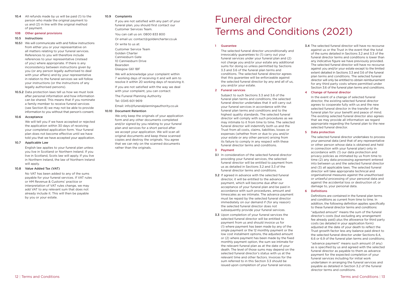10.4 All refunds made by us will be paid (1) to the person who made the original payment to us and (2) in line with the original method of payment.

#### 10B Other general provisions

#### 10.5 Instructions

- 10.5.1 We will communicate with and follow instructions from either you or your representative on all matters relating to your funeral services. References to you will therefore include references to your representative (instead of you) where appropriate. If there is any inconsistency between instructions given by you (or any person legally authorised to deal with your affairs) and by your representative in relation to the funeral services we will follow your instructions (or the instructions of any legally authorised persons).
- 10.5.2 Data protection laws tell us how we must look after personal information and how information can be shared. This means that if you nominate a family member to receive funeral services (see Section 8) we may not be able to provide information to you without that person's consent.

#### 10.6 Acceptance

We will tell you if we have accepted or rejected the application within 30 days of receiving your completed application form. Your funeral plan does not become effective until we have told you that we have accepted your application.

#### 10.7 Applicable Law

English law applies to your funeral plan unless you live in Scotland or Northern Ireland. If you live in Scotland, Scots law will apply. If you live in Northern Ireland, the law of Northern Ireland will apply.

#### 10.8 Value Added Tax (VAT)

No VAT has been added to any of the sums payable for your funeral services. If VAT rules or HM Revenue & Customs' practice or interpretation of VAT rules change, we may add VAT to any relevant sum that does not already include it. This will then be payable by you or your estate.

#### 10.9 Complaints

If you are not satisfied with any part of your funeral plan, you should first contact our Customer Services Team.

You can call us on: 0800 833 800

Or email us: contact@goldencharter.co.uk

Or write to us at:

Customer Service Team Golden Charter Canniesburn Gate 10 Canniesburn Drive Bearsden Glasgow G61 1BF

We will acknowledge your complaint within 7 working days of receiving it and will aim to resolve it within 20 working days of receiving it.

If you are not satisfied with the way we deal with your complaint, you can contact:

The Funeral Planning Authority

Tel: 0345 601 9619

Email: info@funeralplanningauthority.co.uk

#### 10.10 Document Retention

We only keep the originals of your application form and any other documents completed and/or signed by you relating to your funeral plan and services for a short period after we accept your application. We will scan all original documents and keep these scanned copies and destroy the originals. You agree that we can rely on the scanned documents rather than the originals.

#### 1 Guarantee

The selected funeral director unconditionally and irrevocably guarantees to (1) carry out your funeral services under your funeral plan and (2) not charge you and/or your estate any additional sums for doing so unless permitted by Sections 3.3 and 3.6 of the funeral plan terms and conditions. The selected funeral director agrees that this guarantee will be enforceable against the selected funeral director by any and all of us, you and/or your estate.

#### 2 Funeral services

Subject to such Sections 3.3 and 3.6 of the funeral plan terms and conditions, the selected funeral director undertakes that it will carry out your funeral services in accordance with the funeral plan terms and conditions and to the highest quality standards. The selected funeral director will comply with such procedures as we may intimate to it from time to time. The selected funeral director will indemnify both us and the Trust from all costs, claims, liabilities, losses or expenses (whether from or due to you and/or your estate or any other person) arising from its failure to comply in any respect with these funeral director terms and conditions.

#### 3 Payment

- 3.1 In consideration of the selected funeral director providing your funeral services, the selected funeral director will be entitled to payment from us as detailed in Sections 3.2 and 3.3 of the funeral director terms and conditions.
- 3.2 If agreed in advance with the selected funeral director, it will be entitled to the advance payment, which will become due after our acceptance of your funeral plan and be paid in accordance with such procedures, amount and timescales as we intimate. The advance payment must be repaid by the selected funeral director immediately on our demand if (for any reason) the selected funeral director does not subsequently provide your funeral services.
- 3.3 Upon completion of your funeral services the selected funeral director will be entitled to payment from us and should invoice us for (1) where payment has been made by any of the single payment or the 12 monthly payment or the low cost instalment options, the adjusted amount or (2) where payment has been made by the fixed monthly payment option, the sum we intimate for the relevant funeral plan as at the date of your death. The level of those sums may depend on the selected funeral director's status with us at the relevant time and other factors. Invoices for the sum referred to in this Section 3.3 should be issued upon completion of your funeral services.

3.4 The selected funeral director will have no recourse against us or the Trust in the event that the total of the sums detailed in Sections 3.2 and 3.3 of the funeral director terms and conditions is lower than any indicative figure we have previously provided. The selected funeral director will have no recourse against you and/or your estate except to the limited extent detailed in Sections 3.3 and 3.6 of the funeral plan terms and conditions. The selected funeral director will only be entitled to obtain reimbursement for any third party costs where permitted under Section 3.6 of the funeral plan terms and conditions.

#### 4 Change of funeral director

In the event of a change of selected funeral director, the existing selected funeral director agrees to cooperate fully with us and the new selected funeral director in the transfer of the funeral plan for your benefit and peace of mind. The existing selected funeral director also agrees that we may provide all information we regard appropriate regarding the funeral plan to the new selected funeral director.

#### 5 Data protection

The selected funeral director undertakes to process your personal data (and that of any representative or other person whose data is obtained and held in connection with your funeral plan) only in accordance with: (1) our data protection and privacy policies as intimated by us from time to time (2) any data processing agreement entered into between us and the selected funeral director and (3) all applicable laws. The selected funeral director will take appropriate technical and organisational measures against the unauthorised or unlawful processing of your personal data and against the accidental loss or destruction of, or damage to, your personal data.

#### 6 Definitions

Definitions are contained in the funeral plan terms and conditions as current from time to time. In addition, the following definition applies specifically to these funeral director terms and conditions:

"adjusted amount" means the sum of the funeral director's costs (but excluding any arrangement fee already paid) plus the allowance for third party costs (as detailed in your application form) adjusted at the date of your death to reflect the Trust growth factor less any balance paid direct to the selected funeral director under Sections 6.4, 6.6 or 6.9 of the funeral plan terms and conditions;

"advance payment" means such amount (if any) as is specified by us and agreed with the selected funeral director as payable to them as advance payment for the expected completion of your funeral services including for initial work undertaken in arranging the funeral services and payable as detailed in Section 3.2 of the funeral director terms and conditions.

## Funeral director Terms and Conditions (2021)